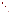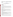# **Technical Factsheet on: DIBROMOCHLOROPROPANE (DBCP)**

[List of Contaminants](http://www.epa.gov/safewater/hfacts.html) 

 As part of the Drinking Water and Health pages, this fact sheet is part of a larger publication: **National Primary Drinking Water Regulations** 

Drinking Water Standards MCLG: zero mg/L MCL: 0.0002 mg/L HAL(child): 1 day: 0.2 mg/L; 10-day: 0.05 mg/L

# **Health Effects Summary**

Acute: EPA has found DBCP to potentially cause kidney and liver damage and atrophy of the testes.

Drinking water levels which are considered "safe" for short-term exposures: For a 10-kg (22 lb.) child consuming 1 liter of water per day, a one-day exposure of 0.2 mg/L or a ten-day exposure to 0.05 mg/L.

 at levels above the MCL. Chronic: DBCP has the potential to cause kidney damage and antifertility effects from long-term exposure

Cancer: There is some evidence that DBCP may have the potential to cause cancer from a lifetime exposure at levels above the MCL.

## **Usage Patterns**

DBCP was once used as an unclassified nematocide for soil fumigation of cucumbers, summer squash, cabbage, cauliflower, carrots, snap beans, okra, aster, shasta daisy, ornamental turf (lawns), bermudagrass, centipedegrass, St Augustine grass, zoysia grass, ardisia, azalea, camellia, forsythia, gardenia, hibiscus, roses, and arborvitae.

 Though it is also used as a chemical intermediate in the production of a flame-retardant, essentially all of its present use is as a soil fumigant.

## **Release Patterns**

 In the past, release of DBCP to the environment occurred primarily from its fumigant and nematocide uses. In 1977, 831,000 pounds of DBCP was used in CA alone, mainly on grapes and tomatoes. In 1974, USA farmers applied 9.8 million pounds of DBCP on crops.

All registrations of end use products were cancelled in 1979 except for the use as a soil fumigant against nematodes on pineapples in Hawaii. This use was cancelled in 1985. The use of DBCP as a laboratory reactant is not expected to result in significant release to the environment.

## **Environmental Fate**

 DBCP released to soil will likely volatilize or leach to groundwater. In a model soil assumed to contain DBCP was estimated to be 1.2 days. The observed log soil sorption coefficient (Koc) of DBCP is 2.11 in 1,2-dibromo-3-chloropropane (DBCP) evenly distributed within the first 10 cm, the volatilization half-life of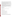that DBCP will adsorb so weakly that it will co-migrate with water through low organic content soil. an unspecified soil. In a soil containing 10% moisture, the log Koc of DBCP is 1.6. Modelling predicted

In alkaline soils, hydrolysis may be significant and biodegradation is possible but is expected to be slow relative to volatilization and leaching to groundwater. Soil microorganisms (primarily Pseudomonas and Flavobacteria) dehalogenated DBCP at a rate of 20% in 1 week at pH 8.

In water, DBCP is expected to volatilize rapidly and hydrolyze slowly. Using measured values of the water solubility and vapor pressure of 1230 mg/l and 0.58 mm Hg, respectively, a Henry's Law constant of 1.47X10-4 atm-cu m/mol was estimated. The volatilization half-life values were 9.5 hr, 13.5 hr, and 224.2 days, respectively, for streams, rivers, and lakes.

 Hydrolysis half-lives of 38 and 141 years have been reported at 25 and 15 deg C, respectively, at pH 7. In groundwater, DBCP is expected to persist due to its low estimated rate of hydrolysis (half-life= 141 years at 15 deg C). Biodegradation may occur, but is expected to be slow relative to the rate of volatilization. Sorption to sediments and bioconcentration are not expected to be significant fate processes.

 radicals with an estimated half-life of 12.19 days. In the atmosphere, vapor phase DBCP is expected to react with photochemically produced hydroxyl

A bioconcentration factor for 1,2-dibromo-3-chloropropane of 11 was estimated from a measured water solubility of 1,230 ppm.

#### **Chemical/ Physical Properties**

CAS Number: 96-12-8

Color/ Form/Odor: Dense yellow liquid with pungent odor; may also be granular

M.P.: 5 C B.P.: 196 C

Vapor Pressure: 0.8 mm Hg at 21 C

Density/Spec. Grav.: 2.08 at 20 C

Octanol/Water Partition (Kow): Log Kow = 2.43 (calculated)

Solubility: 1.23 g/L of water at 25 C; Slightly soluble in water

Soil sorption coefficient: Log Koc = 2.01; high mobility

Bioconcentration Factor: 11 (est.); low bioconcentration potential Soil sorption coefficient: Log Koc = 2.01; high mobility<br>Odor/Taste Thresholds: Taste threshold in water is 0.01 mg/L<br>Bioconcentration Factor: 11 (est.); low bioconcentration potential<br>Henry's Law Coefficient: 1.47x10-4 at

 Nemanax; Nemapaz; Nemaset; Nemazon; Gro-Tone Nematode; Durham Nematocide EM 17.1 Trade Names/Synonyms: DBCP; BBC 12; Fumagon; Fumazone; Nemabrom; Nemafum; Nemagon;